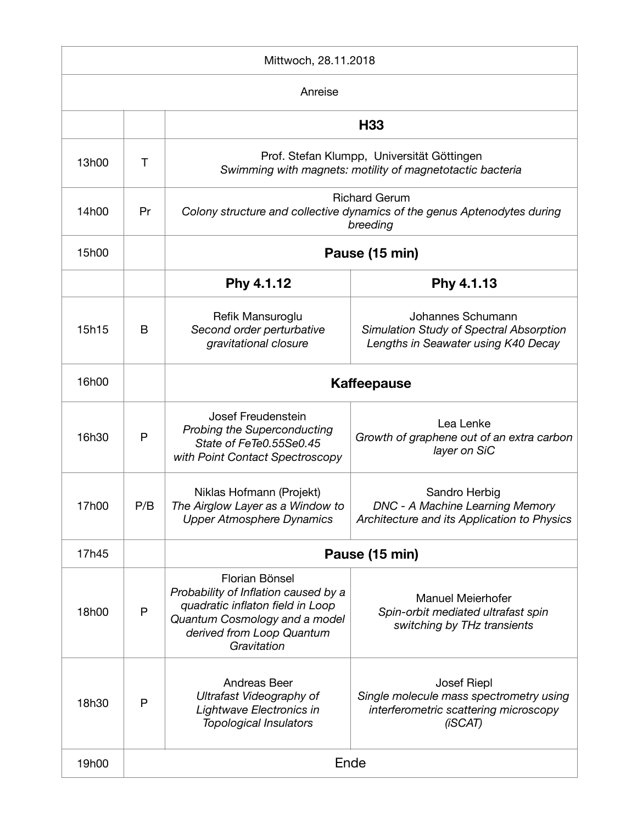| Mittwoch, 28.11.2018 |      |                                                                                                                                                                         |                                                                                                                   |  |  |
|----------------------|------|-------------------------------------------------------------------------------------------------------------------------------------------------------------------------|-------------------------------------------------------------------------------------------------------------------|--|--|
| Anreise              |      |                                                                                                                                                                         |                                                                                                                   |  |  |
|                      |      | H <sub>33</sub>                                                                                                                                                         |                                                                                                                   |  |  |
| 13h00                | Τ    | Prof. Stefan Klumpp, Universität Göttingen<br>Swimming with magnets: motility of magnetotactic bacteria                                                                 |                                                                                                                   |  |  |
| 14h00                | Pr   | <b>Richard Gerum</b><br>Colony structure and collective dynamics of the genus Aptenodytes during<br>breeding                                                            |                                                                                                                   |  |  |
| 15h00                |      | Pause (15 min)                                                                                                                                                          |                                                                                                                   |  |  |
|                      |      | Phy 4.1.12                                                                                                                                                              | Phy 4.1.13                                                                                                        |  |  |
| 15h15                | B    | Refik Mansuroglu<br>Second order perturbative<br>gravitational closure                                                                                                  | Johannes Schumann<br>Simulation Study of Spectral Absorption<br>Lengths in Seawater using K40 Decay               |  |  |
| 16h00                |      | <b>Kaffeepause</b>                                                                                                                                                      |                                                                                                                   |  |  |
| 16h30                | P    | <b>Josef Freudenstein</b><br><b>Probing the Superconducting</b><br>State of FeTe0.55Se0.45<br>with Point Contact Spectroscopy                                           | Lea Lenke<br>Growth of graphene out of an extra carbon<br>layer on SiC                                            |  |  |
| 17h00                | P/B  | Niklas Hofmann (Projekt)<br>The Airglow Layer as a Window to<br><b>Upper Atmosphere Dynamics</b>                                                                        | Sandro Herbig<br><b>DNC - A Machine Learning Memory</b><br>Architecture and its Application to Physics            |  |  |
| 17h45                |      | Pause (15 min)                                                                                                                                                          |                                                                                                                   |  |  |
| 18h00                | P    | Florian Bönsel<br>Probability of Inflation caused by a<br>quadratic inflaton field in Loop<br>Quantum Cosmology and a model<br>derived from Loop Quantum<br>Gravitation | <b>Manuel Meierhofer</b><br>Spin-orbit mediated ultrafast spin<br>switching by THz transients                     |  |  |
| 18h30                | P    | <b>Andreas Beer</b><br>Ultrafast Videography of<br>Lightwave Electronics in<br><b>Topological Insulators</b>                                                            | <b>Josef Riepl</b><br>Single molecule mass spectrometry using<br>interferometric scattering microscopy<br>(iSCAT) |  |  |
| 19h00                | Ende |                                                                                                                                                                         |                                                                                                                   |  |  |